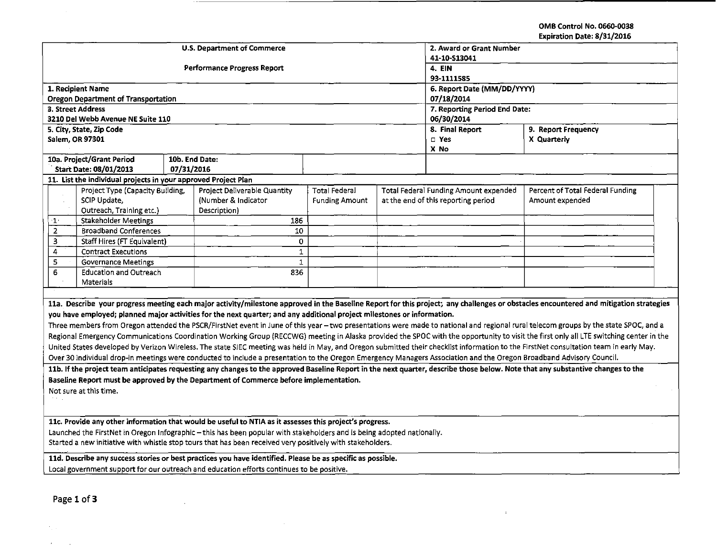OMB Control No. 0660-0038 Expiration Date: 8/31/2016

 $\sim 10^{-5}$ 

| <b>U.S. Department of Commerce</b><br>2. Award or Grant Number<br>41-10-S13041<br><b>Performance Progress Report</b><br>4. EIN<br>93-1111585<br>1. Recipient Name<br>6. Report Date (MM/DD/YYYY)<br><b>Oregon Department of Transportation</b><br>07/18/2014<br>3. Street Address<br>7. Reporting Period End Date:<br>3210 Del Webb Avenue NE Suite 110<br>06/30/2014<br>8. Final Report<br>5. City, State, Zip Code<br>9. Report Frequency<br>X Quarterly<br>Salem, OR 97301<br>$\square$ Yes<br>X No<br>10a. Project/Grant Period<br>10b. End Date:<br><b>Start Date: 08/01/2013</b><br>07/31/2016<br>11. List the individual projects in your approved Project Plan |
|------------------------------------------------------------------------------------------------------------------------------------------------------------------------------------------------------------------------------------------------------------------------------------------------------------------------------------------------------------------------------------------------------------------------------------------------------------------------------------------------------------------------------------------------------------------------------------------------------------------------------------------------------------------------|
|                                                                                                                                                                                                                                                                                                                                                                                                                                                                                                                                                                                                                                                                        |
|                                                                                                                                                                                                                                                                                                                                                                                                                                                                                                                                                                                                                                                                        |
|                                                                                                                                                                                                                                                                                                                                                                                                                                                                                                                                                                                                                                                                        |
|                                                                                                                                                                                                                                                                                                                                                                                                                                                                                                                                                                                                                                                                        |
|                                                                                                                                                                                                                                                                                                                                                                                                                                                                                                                                                                                                                                                                        |
|                                                                                                                                                                                                                                                                                                                                                                                                                                                                                                                                                                                                                                                                        |
|                                                                                                                                                                                                                                                                                                                                                                                                                                                                                                                                                                                                                                                                        |
|                                                                                                                                                                                                                                                                                                                                                                                                                                                                                                                                                                                                                                                                        |
|                                                                                                                                                                                                                                                                                                                                                                                                                                                                                                                                                                                                                                                                        |
|                                                                                                                                                                                                                                                                                                                                                                                                                                                                                                                                                                                                                                                                        |
|                                                                                                                                                                                                                                                                                                                                                                                                                                                                                                                                                                                                                                                                        |
|                                                                                                                                                                                                                                                                                                                                                                                                                                                                                                                                                                                                                                                                        |
|                                                                                                                                                                                                                                                                                                                                                                                                                                                                                                                                                                                                                                                                        |
| Total Federal Funding Amount expended<br>Percent of Total Federal Funding<br>Project Type (Capacity Building,<br>Project Deliverable Quantity<br><b>Total Federal</b>                                                                                                                                                                                                                                                                                                                                                                                                                                                                                                  |
| SCIP Update,<br>(Number & Indicator<br>at the end of this reporting period<br><b>Funding Amount</b><br>Amount expended                                                                                                                                                                                                                                                                                                                                                                                                                                                                                                                                                 |
| Outreach, Training etc.)<br>Description)                                                                                                                                                                                                                                                                                                                                                                                                                                                                                                                                                                                                                               |
| <b>Stakeholder Meetings</b><br>186<br>$\mathbf{1}^{\mathbf{1}}$<br>$\overline{2}$<br><b>Broadband Conferences</b><br>10                                                                                                                                                                                                                                                                                                                                                                                                                                                                                                                                                |
| 3<br>Staff Hires (FT Equivalent)<br>0                                                                                                                                                                                                                                                                                                                                                                                                                                                                                                                                                                                                                                  |
| <b>Contract Executions</b><br>$\mathbf{1}$<br>4                                                                                                                                                                                                                                                                                                                                                                                                                                                                                                                                                                                                                        |
| $\mathbf{1}$<br>5<br><b>Governance Meetings</b>                                                                                                                                                                                                                                                                                                                                                                                                                                                                                                                                                                                                                        |
| 6<br><b>Education and Outreach</b><br>836                                                                                                                                                                                                                                                                                                                                                                                                                                                                                                                                                                                                                              |
| Materials                                                                                                                                                                                                                                                                                                                                                                                                                                                                                                                                                                                                                                                              |
|                                                                                                                                                                                                                                                                                                                                                                                                                                                                                                                                                                                                                                                                        |
| 11a. Describe your progress meeting each major activity/milestone approved in the Baseline Report for this project; any challenges or obstacles encountered and mitigation strategies                                                                                                                                                                                                                                                                                                                                                                                                                                                                                  |
| you have employed; planned major activities for the next quarter; and any additional project milestones or information.                                                                                                                                                                                                                                                                                                                                                                                                                                                                                                                                                |
| Three members from Oregon attended the PSCR/FirstNet event in June of this year - two presentations were made to national and regional rural telecom groups by the state SPOC, and a                                                                                                                                                                                                                                                                                                                                                                                                                                                                                   |
| Regional Emergency Communications Coordination Working Group (RECCWG) meeting in Alaska provided the SPOC with the opportunity to visit the first only all LTE switching center in the                                                                                                                                                                                                                                                                                                                                                                                                                                                                                 |
| United States developed by Verizon Wireless. The state SIEC meeting was held in May, and Oregon submitted their checklist information to the FirstNet consultation team in early May.                                                                                                                                                                                                                                                                                                                                                                                                                                                                                  |
| Over 30 individual drop-in meetings were conducted to include a presentation to the Oregon Emergency Managers Association and the Oregon Broadband Advisory Council.                                                                                                                                                                                                                                                                                                                                                                                                                                                                                                   |
| 11b. If the project team anticipates requesting any changes to the approved Baseline Report in the next quarter, describe those below. Note that any substantive changes to the                                                                                                                                                                                                                                                                                                                                                                                                                                                                                        |
| Baseline Report must be approved by the Department of Commerce before implementation.                                                                                                                                                                                                                                                                                                                                                                                                                                                                                                                                                                                  |
| Not sure at this time.                                                                                                                                                                                                                                                                                                                                                                                                                                                                                                                                                                                                                                                 |
|                                                                                                                                                                                                                                                                                                                                                                                                                                                                                                                                                                                                                                                                        |
|                                                                                                                                                                                                                                                                                                                                                                                                                                                                                                                                                                                                                                                                        |
| 11c. Provide any other information that would be useful to NTIA as it assesses this project's progress.                                                                                                                                                                                                                                                                                                                                                                                                                                                                                                                                                                |
| Launched the FirstNet in Oregon Infographic - this has been popular with stakeholders and is being adopted nationally.                                                                                                                                                                                                                                                                                                                                                                                                                                                                                                                                                 |
| Started a new initiative with whistle stop tours that has been received very positively with stakeholders.                                                                                                                                                                                                                                                                                                                                                                                                                                                                                                                                                             |
|                                                                                                                                                                                                                                                                                                                                                                                                                                                                                                                                                                                                                                                                        |
| 11d. Describe any success stories or best practices you have identified. Please be as specific as possible.                                                                                                                                                                                                                                                                                                                                                                                                                                                                                                                                                            |
| Local government support for our outreach and education efforts continues to be positive.                                                                                                                                                                                                                                                                                                                                                                                                                                                                                                                                                                              |

 $\cdot$  -  $-$ 

Page 1 of 3

 $\sigma_{\rm 2.4\,GHz}$  $\mathcal{A}^{\text{max}}_{\text{max}}$  and  $\mathcal{A}^{\text{max}}_{\text{max}}$   $\sim$ 

 $\sim 10^{-1}$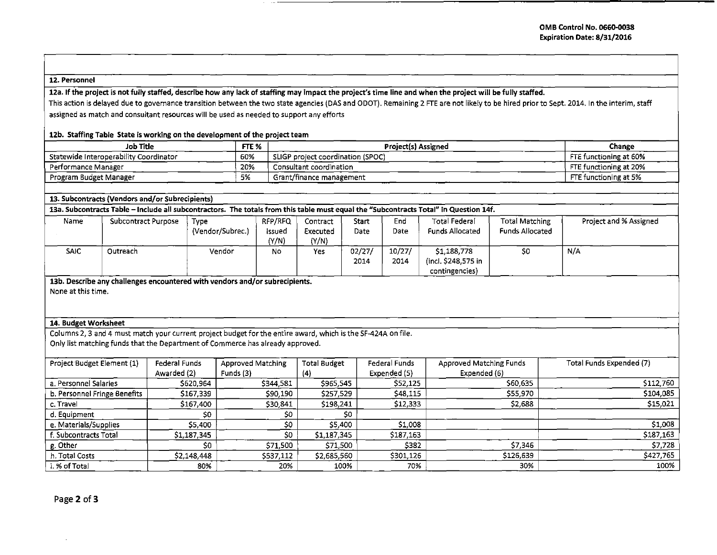## 12. Personnel

12a. If the project is not fully staffed, describe how any lack of staffing may impact the project's time line and when the project will be fully staffed.

This action is delayed due to governance transition between the two state agencies (DAS and ODOT). Remaining 2 FTE are not likely to be hired prior to Sept. 2014. In the interim, staff assigned as match and consultant resources will be used as needed to support any efforts

## 12b. Staffing Table State is working on the development of the project team

| Job Title                              | FTE <sub>%</sub> | <b>Project(s) Assigned</b>        | Change                 |
|----------------------------------------|------------------|-----------------------------------|------------------------|
| Statewide Interoperability Coordinator | 60%              | SLIGP project coordination (SPOC) | FTE functioning at 60% |
| Performance Manager                    | 20%              | Consultant coordination           | FTE functioning at 20% |
| Program Budget Manager                 | 5%               | Grant/finance management          | FTE functioning at 5%  |

| 13. Subcontracts (Vendors and/or Subrecipients) |                                                                                                                                       |
|-------------------------------------------------|---------------------------------------------------------------------------------------------------------------------------------------|
|                                                 | 13a. Subcontracts Table – Include all subcontractors. The totals from this table must equal the "Subcontracts Total" in Question 14f. |

| Name        | Subcontract Purpose | Type             | RFP/RFQ | Contract | Start  | End    | <b>Total Federal</b>   | <b>Total Matching</b>  | Project and % Assigned |
|-------------|---------------------|------------------|---------|----------|--------|--------|------------------------|------------------------|------------------------|
|             |                     | (Vendor/Subrec.) | issued  | Executed | Date   | Date   | <b>Funds Allocated</b> | <b>Funds Allocated</b> |                        |
|             |                     |                  | (Y/N)   | (Y/N)    |        |        |                        |                        |                        |
| <b>SAIC</b> | Outreach            | Vendor           | No      | Yes      | 02/27/ | 10/27/ | \$1,188,778            | SC.                    | N/A                    |
|             |                     |                  |         |          | 2014   | 2014   | (incl. \$248,575 in    |                        |                        |
|             |                     |                  |         |          |        |        | contingencies)         |                        |                        |

13b. Describe any challenges encountered with vendors and/or subrecipients.

None at this time.

## 14. Budget Worksheet

Columns 2, 3 and 4 must match your current project budget for the entire award, which is the SF-424A on file. Only list matching funds that the Department of Commerce has already approved.

| Project Budget Element (1)   | Federal Funds | <b>Approved Matching</b> | <b>Total Budget</b> | Federal Funds | Approved Matching Funds | Total Funds Expended (7) |
|------------------------------|---------------|--------------------------|---------------------|---------------|-------------------------|--------------------------|
|                              | Awarded (2)   | Funds (3)                | (4)                 | Expended (5)  | Expended (6)            |                          |
| a. Personnel Salaries        | \$620,964     | \$344,581                | \$965,545           | \$52,125      | \$60,635                | \$112,760                |
| b. Personnel Fringe Benefits | \$167,339     | \$90,190                 | \$257,529           | \$48,115      | \$55,970                | \$104,085                |
| c. Travel                    | \$167,400     | \$30,841                 | \$198,241           | \$12,333      | \$2,688                 | \$15,021                 |
| d. Equipment                 | \$0           | so                       | so                  |               |                         |                          |
| e. Materials/Supplies        | \$5,400       | \$0                      | \$5,400             | \$1,008       |                         | \$1,008                  |
| f. Subcontracts Total        | \$1,187,345   | \$0                      | \$1,187,345         | \$187,163     |                         | \$187,163                |
| g. Other                     | S0            | 571,500                  | \$71,500            | \$382         | \$7.346                 | \$7,728                  |
| h. Total Costs               | \$2,148,448   | \$537,112                | \$2,685,560         | \$301,126     | \$126,639               | \$427,765                |
| i. % of Total                | 80%           | 20%                      | 100%                | 70%           | 30%                     | 100%                     |